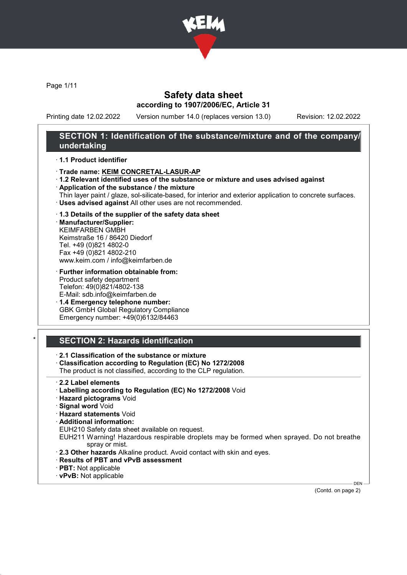

Page 1/11

## Safety data sheet according to 1907/2006/EC, Article 31

Printing date 12.02.2022 Version number 14.0 (replaces version 13.0) Revision: 12.02.2022

## SECTION 1: Identification of the substance/mixture and of the company/ undertaking

#### · 1.1 Product identifier

- · Trade name: KEIM CONCRETAL-LASUR-AP
- · 1.2 Relevant identified uses of the substance or mixture and uses advised against
- · Application of the substance / the mixture
- Thin layer paint / glaze, sol-silicate-based, for interior and exterior application to concrete surfaces. · Uses advised against All other uses are not recommended.

#### · 1.3 Details of the supplier of the safety data sheet

· Manufacturer/Supplier: KEIMFARBEN GMBH Keimstraße 16 / 86420 Diedorf Tel. +49 (0)821 4802-0 Fax +49 (0)821 4802-210 www.keim.com / info@keimfarben.de

· Further information obtainable from: Product safety department Telefon: 49(0)821/4802-138 E-Mail: sdb.info@keimfarben.de

· 1.4 Emergency telephone number: GBK GmbH Global Regulatory Compliance Emergency number: +49(0)6132/84463

## **SECTION 2: Hazards identification**

· 2.1 Classification of the substance or mixture

- · Classification according to Regulation (EC) No 1272/2008
- The product is not classified, according to the CLP regulation.
- · 2.2 Label elements
- · Labelling according to Regulation (EC) No 1272/2008 Void
- · Hazard pictograms Void
- · Signal word Void
- · Hazard statements Void
- · Additional information:
- EUH210 Safety data sheet available on request.
- EUH211 Warning! Hazardous respirable droplets may be formed when sprayed. Do not breathe spray or mist.
- · 2.3 Other hazards Alkaline product. Avoid contact with skin and eyes.
- · Results of PBT and vPvB assessment
- · PBT: Not applicable
- · vPvB: Not applicable

(Contd. on page 2)

DEN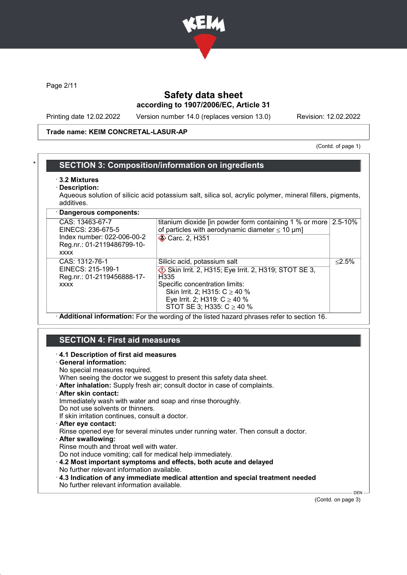

Page 2/11

# Safety data sheet according to 1907/2006/EC, Article 31

Printing date 12.02.2022 Version number 14.0 (replaces version 13.0) Revision: 12.02.2022

#### Trade name: KEIM CONCRETAL-LASUR-AP

(Contd. of page 1)

### **SECTION 3: Composition/information on ingredients**

- · 3.2 Mixtures
- Description:

Aqueous solution of silicic acid potassium salt, silica sol, acrylic polymer, mineral fillers, pigments, additives.

| · Dangerous components:                                                                                         |                                                                                                                                                                                                                                         |           |
|-----------------------------------------------------------------------------------------------------------------|-----------------------------------------------------------------------------------------------------------------------------------------------------------------------------------------------------------------------------------------|-----------|
| CAS: 13463-67-7<br>EINECS: 236-675-5<br>Index number: 022-006-00-2<br>Reg.nr.: 01-2119486799-10-<br><b>XXXX</b> | titanium dioxide [in powder form containing 1 % or more<br>of particles with aerodynamic diameter $\leq 10 \mu m$ ]<br><b>◆ Carc. 2, H351</b>                                                                                           | 2.5-10%   |
| CAS: 1312-76-1<br>EINECS: 215-199-1<br>Reg.nr.: 01-2119456888-17-<br><b>XXXX</b>                                | Silicic acid, potassium salt<br>Skin Irrit. 2, H315; Eye Irrit. 2, H319; STOT SE 3,<br>H335<br>Specific concentration limits:<br>Skin Irrit. 2; H315: $C \ge 40$ %<br>Eye Irrit. 2; H319: $C \ge 40$ %<br>STOT SE 3; H335: $C \ge 40$ % | $< 2.5\%$ |

· Additional information: For the wording of the listed hazard phrases refer to section 16.

### SECTION 4: First aid measures

#### · 4.1 Description of first aid measures

· General information:

No special measures required.

- When seeing the doctor we suggest to present this safety data sheet.
- · After inhalation: Supply fresh air; consult doctor in case of complaints.
- After skin contact:

Immediately wash with water and soap and rinse thoroughly.

Do not use solvents or thinners. If skin irritation continues, consult a doctor.

- After eve contact:
- Rinse opened eye for several minutes under running water. Then consult a doctor.
- After swallowing:

Rinse mouth and throat well with water.

- Do not induce vomiting; call for medical help immediately.
- · 4.2 Most important symptoms and effects, both acute and delayed No further relevant information available.
- · 4.3 Indication of any immediate medical attention and special treatment needed No further relevant information available.

(Contd. on page 3)

DEN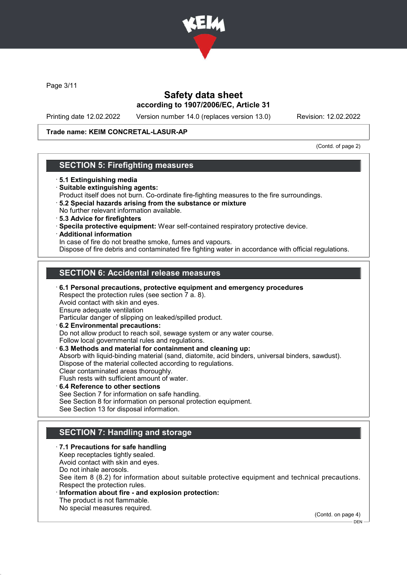

Page 3/11

## Safety data sheet according to 1907/2006/EC, Article 31

Printing date 12.02.2022 Version number 14.0 (replaces version 13.0) Revision: 12.02.2022

### Trade name: KEIM CONCRETAL-LASUR-AP

(Contd. of page 2)

## SECTION 5: Firefighting measures

- · 5.1 Extinguishing media
- · Suitable extinguishing agents:
- Product itself does not burn. Co-ordinate fire-fighting measures to the fire surroundings.
- · 5.2 Special hazards arising from the substance or mixture No further relevant information available.
- · 5.3 Advice for firefighters
- · Specila protective equipment: Wear self-contained respiratory protective device.
- · Additional information

In case of fire do not breathe smoke, fumes and vapours.

Dispose of fire debris and contaminated fire fighting water in accordance with official regulations.

## SECTION 6: Accidental release measures

· 6.1 Personal precautions, protective equipment and emergency procedures Respect the protection rules (see section 7 a. 8). Avoid contact with skin and eyes. Ensure adequate ventilation Particular danger of slipping on leaked/spilled product. · 6.2 Environmental precautions: Do not allow product to reach soil, sewage system or any water course.

Follow local governmental rules and regulations. · 6.3 Methods and material for containment and cleaning up:

Absorb with liquid-binding material (sand, diatomite, acid binders, universal binders, sawdust). Dispose of the material collected according to regulations. Clear contaminated areas thoroughly. Flush rests with sufficient amount of water.

- · 6.4 Reference to other sections See Section 7 for information on safe handling. See Section 8 for information on personal protection equipment.
- See Section 13 for disposal information.

# SECTION 7: Handling and storage

- · 7.1 Precautions for safe handling Keep receptacles tightly sealed. Avoid contact with skin and eyes. Do not inhale aerosols. See item 8 (8.2) for information about suitable protective equipment and technical precautions. Respect the protection rules. Information about fire - and explosion protection:
	- The product is not flammable.
	- No special measures required.

(Contd. on page 4)

 $-$  DEN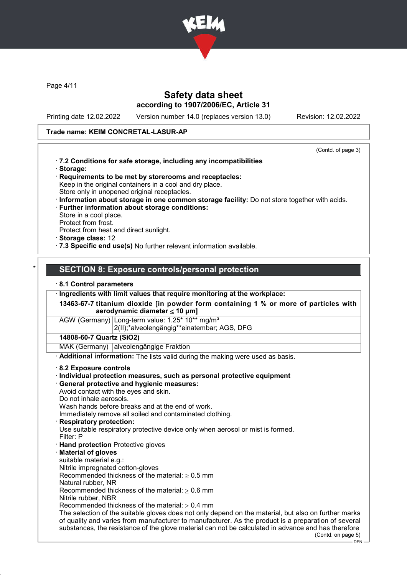

Page 4/11

## Safety data sheet according to 1907/2006/EC, Article 31

Printing date 12.02.2022 Version number 14.0 (replaces version 13.0) Revision: 12.02.2022

#### Trade name: KEIM CONCRETAL-LASUR-AP

(Contd. of page 3)

- · 7.2 Conditions for safe storage, including any incompatibilities · Storage:
- · Requirements to be met by storerooms and receptacles: Keep in the original containers in a cool and dry place. Store only in unopened original receptacles.
- · Information about storage in one common storage facility: Do not store together with acids.
- · Further information about storage conditions: Store in a cool place. Protect from frost.
- Protect from heat and direct sunlight.
- · Storage class: 12
- · 7.3 Specific end use(s) No further relevant information available.

### SECTION 8: Exposure controls/personal protection

#### · 8.1 Control parameters

· Ingredients with limit values that require monitoring at the workplace:

13463-67-7 titanium dioxide [in powder form containing 1 % or more of particles with aerodynamic diameter ≤ 10 μm]

AGW (Germany) Long-term value: 1.25\* 10\*\* ma/m<sup>3</sup>

2(II);\*alveolengängig\*\*einatembar; AGS, DFG

### 14808-60-7 Quartz (SiO2)

MAK (Germany) alveolengängige Fraktion

· Additional information: The lists valid during the making were used as basis.

#### · 8.2 Exposure controls

- · Individual protection measures, such as personal protective equipment
- · General protective and hygienic measures:

Avoid contact with the eyes and skin.

Do not inhale aerosols.

Wash hands before breaks and at the end of work.

Immediately remove all soiled and contaminated clothing.

**Respiratory protection:** 

Use suitable respiratory protective device only when aerosol or mist is formed.

- Filter: P
- · Hand protection Protective gloves
- **Material of gloves**
- suitable material e.g.:
- Nitrile impregnated cotton-gloves

Recommended thickness of the material:  $> 0.5$  mm

Natural rubber, NR

Recommended thickness of the material:  $> 0.6$  mm Nitrile rubber, NBR

Recommended thickness of the material:  $> 0.4$  mm

The selection of the suitable gloves does not only depend on the material, but also on further marks

of quality and varies from manufacturer to manufacturer. As the product is a preparation of several substances, the resistance of the glove material can not be calculated in advance and has therefore (Contd. on page 5)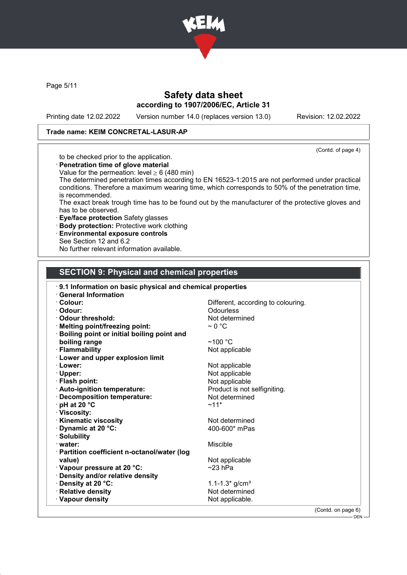

Page 5/11

# Safety data sheet according to 1907/2006/EC, Article 31

Printing date 12.02.2022 Version number 14.0 (replaces version 13.0) Revision: 12.02.2022

### Trade name: KEIM CONCRETAL-LASUR-AP

(Contd. of page 4)

## to be checked prior to the application.

- · Penetration time of glove material
- Value for the permeation: level  $\geq 6$  (480 min)
- The determined penetration times according to EN 16523-1:2015 are not performed under practical conditions. Therefore a maximum wearing time, which corresponds to 50% of the penetration time, is recommended.
- The exact break trough time has to be found out by the manufacturer of the protective gloves and has to be observed.
- · Eye/face protection Safety glasses
- · Body protection: Protective work clothing
- · Environmental exposure controls
- See Section 12 and 6.2

No further relevant information available.

### SECTION 9: Physical and chemical properties

| 9.1 Information on basic physical and chemical properties |                                    |
|-----------------------------------------------------------|------------------------------------|
| <b>General Information</b>                                |                                    |
| · Colour:                                                 | Different, according to colouring. |
| · Odour:                                                  | <b>Odourless</b>                   |
| Odour threshold:                                          | Not determined                     |
| · Melting point/freezing point:                           | $\sim$ 0 °C                        |
| <b>Boiling point or initial boiling point and</b>         |                                    |
| boiling range                                             | $~100~{\rm ^{\circ}C}$             |
| · Flammability                                            | Not applicable                     |
| · Lower and upper explosion limit                         |                                    |
| · Lower:                                                  | Not applicable                     |
| $\cdot$ Upper:                                            | Not applicable                     |
| · Flash point:                                            | Not applicable                     |
| · Auto-ignition temperature:                              | Product is not selfigniting.       |
| · Decomposition temperature:                              | Not determined                     |
| $\cdot$ pH at 20 $\degree$ C                              | $~11*$                             |
| · Viscosity:                                              |                                    |
| <b>Kinematic viscosity</b>                                | Not determined                     |
| Dynamic at 20 °C:                                         | 400-600* mPas                      |
| · Solubility                                              |                                    |
| $\cdot$ water:                                            | Miscible                           |
| · Partition coefficient n-octanol/water (log              |                                    |
| value)                                                    | Not applicable                     |
| · Vapour pressure at 20 °C:                               | $~23$ hPa                          |
| · Density and/or relative density                         |                                    |
| · Density at 20 °C:                                       | 1.1-1.3 $*$ g/cm <sup>3</sup>      |
| · Relative density                                        | Not determined                     |
| · Vapour density                                          | Not applicable.                    |
|                                                           | (Contd. on page 6)                 |

 $-$  DEN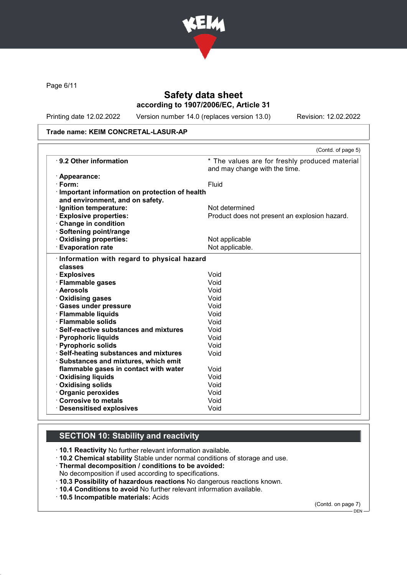

Page 6/11

## Safety data sheet according to 1907/2006/EC, Article 31

Printing date 12.02.2022 Version number 14.0 (replaces version 13.0) Revision: 12.02.2022

#### Trade name: KEIM CONCRETAL-LASUR-AP

|                                                 | (Contd. of page 5)                                                              |
|-------------------------------------------------|---------------------------------------------------------------------------------|
| ⋅ 9.2 Other information                         | * The values are for freshly produced material<br>and may change with the time. |
| · Appearance:                                   |                                                                                 |
| $\cdot$ Form:                                   | Fluid                                                                           |
| · Important information on protection of health |                                                                                 |
| and environment, and on safety.                 |                                                                                 |
| · Ignition temperature:                         | Not determined                                                                  |
| <b>Explosive properties:</b>                    | Product does not present an explosion hazard.                                   |
| Change in condition                             |                                                                                 |
| · Softening point/range                         |                                                                                 |
| · Oxidising properties:                         | Not applicable                                                                  |
| <b>Evaporation rate</b>                         | Not applicable.                                                                 |
| classes<br>· Explosives                         | Void                                                                            |
|                                                 |                                                                                 |
| · Flammable gases                               | Void                                                                            |
| · Aerosols                                      | Void                                                                            |
| · Oxidising gases                               | Void                                                                            |
| · Gases under pressure                          | Void                                                                            |
| · Flammable liquids                             | Void                                                                            |
| · Flammable solids                              | Void                                                                            |
| · Self-reactive substances and mixtures         | Void                                                                            |
| · Pyrophoric liquids                            | Void                                                                            |
| · Pyrophoric solids                             | Void                                                                            |
| · Self-heating substances and mixtures          | Void                                                                            |
| · Substances and mixtures, which emit           |                                                                                 |
| flammable gases in contact with water           | Void                                                                            |
| <b>Oxidising liquids</b>                        | Void                                                                            |
| Oxidising solids                                | Void                                                                            |
| · Organic peroxides                             | Void                                                                            |
| Corrosive to metals                             | Void                                                                            |
| <b>Desensitised explosives</b>                  | Void                                                                            |

# SECTION 10: Stability and reactivity

· 10.1 Reactivity No further relevant information available.

- · 10.2 Chemical stability Stable under normal conditions of storage and use.
- · Thermal decomposition / conditions to be avoided:
- No decomposition if used according to specifications.
- · 10.3 Possibility of hazardous reactions No dangerous reactions known.
- · 10.4 Conditions to avoid No further relevant information available.
- · 10.5 Incompatible materials: Acids

(Contd. on page 7)

<sup>–&</sup>lt;br>— DEN-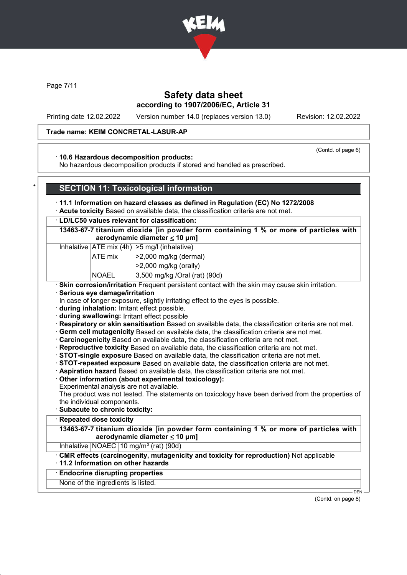

Page 7/11

### Safety data sheet according to 1907/2006/EC, Article 31

Printing date 12.02.2022 Version number 14.0 (replaces version 13.0) Revision: 12.02.2022

#### Trade name: KEIM CONCRETAL-LASUR-AP

(Contd. of page 6)

### · 10.6 Hazardous decomposition products:

No hazardous decomposition products if stored and handled as prescribed.

### **SECTION 11: Toxicological information**

· 11.1 Information on hazard classes as defined in Regulation (EC) No 1272/2008

· Acute toxicity Based on available data, the classification criteria are not met.

#### · LD/LC50 values relevant for classification:

13463-67-7 titanium dioxide [in powder form containing 1 % or more of particles with aerodynamic diameter  $\leq 10 \mu m$ ]

Inhalative  $|ATE \text{ mix } (4h) | > 5 \text{ mg/l } (inhalative)$ 

| <b>ATE</b> mix | $ >2,000$ mg/kg (dermal)  |
|----------------|---------------------------|
|                | $ >$ 2,000 mg/kg (orally) |

 $NOAEL$  3,500 mg/kg /Oral (rat) (90d)

· Skin corrosion/irritation Frequent persistent contact with the skin may cause skin irritation.

· Serious eye damage/irritation

In case of longer exposure, slightly irritating effect to the eyes is possible.

· during inhalation: Irritant effect possible.

· during swallowing: Irritant effect possible

· Respiratory or skin sensitisation Based on available data, the classification criteria are not met.

· Germ cell mutagenicity Based on available data, the classification criteria are not met.

· Carcinogenicity Based on available data, the classification criteria are not met.

· Reproductive toxicity Based on available data, the classification criteria are not met.

· STOT-single exposure Based on available data, the classification criteria are not met.

· STOT-repeated exposure Based on available data, the classification criteria are not met.

· Aspiration hazard Based on available data, the classification criteria are not met.

· Other information (about experimental toxicology):

Experimental analysis are not available.

The product was not tested. The statements on toxicology have been derived from the properties of the individual components.

· Subacute to chronic toxicity:

**Repeated dose toxicity** 

13463-67-7 titanium dioxide [in powder form containing 1 % or more of particles with aerodynamic diameter ≤ 10 μm]

Inhalative  $NOAEC$  10 mg/m<sup>3</sup> (rat) (90d)

· CMR effects (carcinogenity, mutagenicity and toxicity for reproduction) Not applicable

· 11.2 Information on other hazards

· Endocrine disrupting properties

None of the ingredients is listed.

(Contd. on page 8)

DEN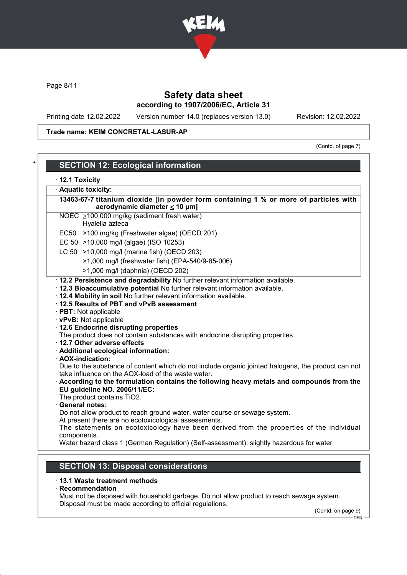

Page 8/11

# Safety data sheet according to 1907/2006/EC, Article 31

Printing date 12.02.2022 Version number 14.0 (replaces version 13.0) Revision: 12.02.2022

### Trade name: KEIM CONCRETAL-LASUR-AP

(Contd. of page 7)

| · 12.1 Toxicity<br>· Aquatic toxicity: |                                                                                                                                                                                                                                                                                                                                          |  |  |
|----------------------------------------|------------------------------------------------------------------------------------------------------------------------------------------------------------------------------------------------------------------------------------------------------------------------------------------------------------------------------------------|--|--|
|                                        | 13463-67-7 titanium dioxide [in powder form containing 1 % or more of particles with                                                                                                                                                                                                                                                     |  |  |
|                                        | aerodynamic diameter $\leq 10$ µm]                                                                                                                                                                                                                                                                                                       |  |  |
|                                        | NOEC 2100,000 mg/kg (sediment fresh water)                                                                                                                                                                                                                                                                                               |  |  |
|                                        | Hyalella azteca                                                                                                                                                                                                                                                                                                                          |  |  |
|                                        | EC50 >100 mg/kg (Freshwater algae) (OECD 201)                                                                                                                                                                                                                                                                                            |  |  |
|                                        | EC 50   > 10,000 mg/l (algae) (ISO 10253)                                                                                                                                                                                                                                                                                                |  |  |
|                                        | LC 50   > 10,000 mg/l (marine fish) (OECD 203)                                                                                                                                                                                                                                                                                           |  |  |
|                                        | >1,000 mg/l (freshwater fish) (EPA-540/9-85-006)                                                                                                                                                                                                                                                                                         |  |  |
|                                        | >1,000 mg/l (daphnia) (OECD 202)                                                                                                                                                                                                                                                                                                         |  |  |
|                                        | · 12.4 Mobility in soil No further relevant information available.<br>12.5 Results of PBT and vPvB assessment                                                                                                                                                                                                                            |  |  |
|                                        | · PBT: Not applicable<br>· vPvB: Not applicable<br>· 12.6 Endocrine disrupting properties<br>The product does not contain substances with endocrine disrupting properties.<br>· 12.7 Other adverse effects                                                                                                                               |  |  |
|                                        | · Additional ecological information:                                                                                                                                                                                                                                                                                                     |  |  |
|                                        | · AOX-indication:<br>Due to the substance of content which do not include organic jointed halogens, the product can not<br>take influence on the AOX-load of the waste water.<br>. According to the formulation contains the following heavy metals and compounds from the<br>EU guideline NO. 2006/11/EC:<br>The product contains TiO2. |  |  |
|                                        | · General notes:                                                                                                                                                                                                                                                                                                                         |  |  |
|                                        | Do not allow product to reach ground water, water course or sewage system.                                                                                                                                                                                                                                                               |  |  |
| components.                            | At present there are no ecotoxicological assessments.<br>The statements on ecotoxicology have been derived from the properties of the individual                                                                                                                                                                                         |  |  |

## SECTION 13: Disposal considerations

#### · 13.1 Waste treatment methods

· Recommendation

Must not be disposed with household garbage. Do not allow product to reach sewage system. Disposal must be made according to official regulations.

(Contd. on page 9)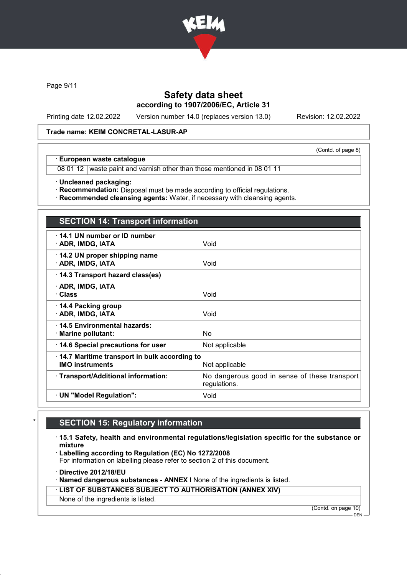

Page 9/11

## Safety data sheet according to 1907/2006/EC, Article 31

Printing date 12.02.2022 Version number 14.0 (replaces version 13.0) Revision: 12.02.2022

(Contd. of page 8)

#### Trade name: KEIM CONCRETAL-LASUR-AP

· European waste catalogue

08 01 12 waste paint and varnish other than those mentioned in 08 01 11

· Uncleaned packaging:

· Recommendation: Disposal must be made according to official regulations.

· Recommended cleansing agents: Water, if necessary with cleansing agents.

# SECTION 14: Transport information

| 14.1 UN number or ID number<br>· ADR, IMDG, IATA                                         | Void                                                          |
|------------------------------------------------------------------------------------------|---------------------------------------------------------------|
| 14.2 UN proper shipping name<br>· ADR, IMDG, IATA                                        | Void                                                          |
| 14.3 Transport hazard class(es)                                                          |                                                               |
| · ADR, IMDG, IATA<br>· Class                                                             | Void                                                          |
| ⋅ 14.4 Packing group<br>· ADR, IMDG, IATA                                                | Void                                                          |
| 14.5 Environmental hazards:<br>$\cdot$ Marine pollutant:                                 | No                                                            |
| 14.6 Special precautions for user                                                        | Not applicable                                                |
| 14.7 Maritime transport in bulk according to<br><b>IMO instruments</b><br>Not applicable |                                                               |
| · Transport/Additional information:                                                      | No dangerous good in sense of these transport<br>regulations. |
| · UN "Model Regulation":                                                                 | Void                                                          |
|                                                                                          |                                                               |

### **SECTION 15: Regulatory information**

· 15.1 Safety, health and environmental regulations/legislation specific for the substance or mixture

· Labelling according to Regulation (EC) No 1272/2008

For information on labelling please refer to section 2 of this document.

· Directive 2012/18/EU

· Named dangerous substances - ANNEX I None of the ingredients is listed.

· LIST OF SUBSTANCES SUBJECT TO AUTHORISATION (ANNEX XIV)

None of the ingredients is listed.

(Contd. on page 10)

DEN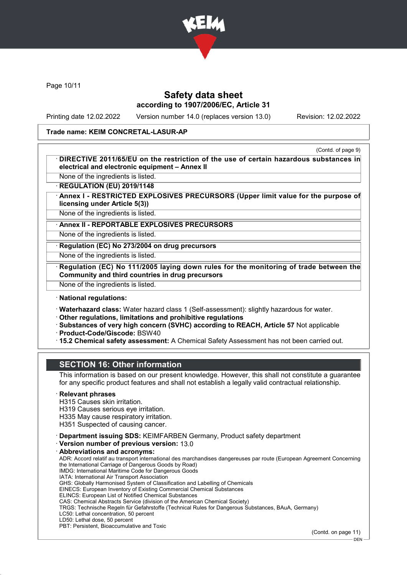

Page 10/11

## Safety data sheet according to 1907/2006/EC, Article 31

Printing date 12.02.2022 Version number 14.0 (replaces version 13.0) Revision: 12.02.2022

#### Trade name: KEIM CONCRETAL-LASUR-AP

(Contd. of page 9)

DIRECTIVE 2011/65/EU on the restriction of the use of certain hazardous substances in electrical and electronic equipment – Annex II

None of the ingredients is listed. **REGULATION (EU) 2019/1148** 

Annex I - RESTRICTED EXPLOSIVES PRECURSORS (Upper limit value for the purpose of licensing under Article 5(3))

None of the ingredients is listed.

Annex II - REPORTABLE EXPLOSIVES PRECURSORS

None of the ingredients is listed.

Regulation (EC) No 273/2004 on drug precursors

None of the ingredients is listed.

Regulation (EC) No 111/2005 laying down rules for the monitoring of trade between the Community and third countries in drug precursors

None of the ingredients is listed.

### · National regulations:

· Waterhazard class: Water hazard class 1 (Self-assessment): slightly hazardous for water.

· Other regulations, limitations and prohibitive regulations

- · Substances of very high concern (SVHC) according to REACH, Article 57 Not applicable
- · Product-Code/Giscode: BSW40
- · 15.2 Chemical safety assessment: A Chemical Safety Assessment has not been carried out.

### SECTION 16: Other information

This information is based on our present knowledge. However, this shall not constitute a guarantee for any specific product features and shall not establish a legally valid contractual relationship.

#### **Relevant phrases**

H315 Causes skin irritation.

H319 Causes serious eye irritation.

H335 May cause respiratory irritation.

H351 Suspected of causing cancer.

· Department issuing SDS: KEIMFARBEN Germany, Product safety department

· Version number of previous version: 13.0

#### Abbreviations and acronyms:

ADR: Accord relatif au transport international des marchandises dangereuses par route (European Agreement Concerning the International Carriage of Dangerous Goods by Road) IMDG: International Maritime Code for Dangerous Goods IATA: International Air Transport Association GHS: Globally Harmonised System of Classification and Labelling of Chemicals EINECS: European Inventory of Existing Commercial Chemical Substances ELINCS: European List of Notified Chemical Substances

CAS: Chemical Abstracts Service (division of the American Chemical Society)

TRGS: Technische Regeln für Gefahrstoffe (Technical Rules for Dangerous Substances, BAuA, Germany)

LC50: Lethal concentration, 50 percent LD50: Lethal dose, 50 percent

PBT: Persistent, Bioaccumulative and Toxic

(Contd. on page 11)